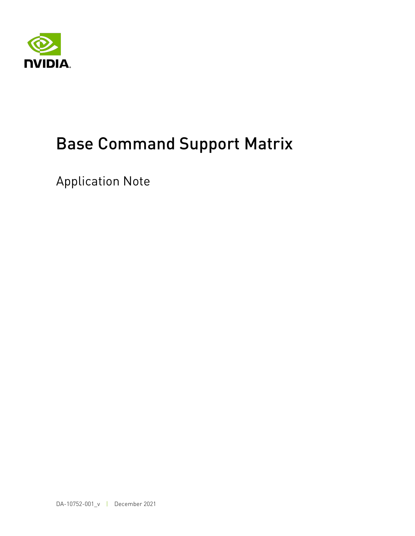

# Base Command Support Matrix

Application Note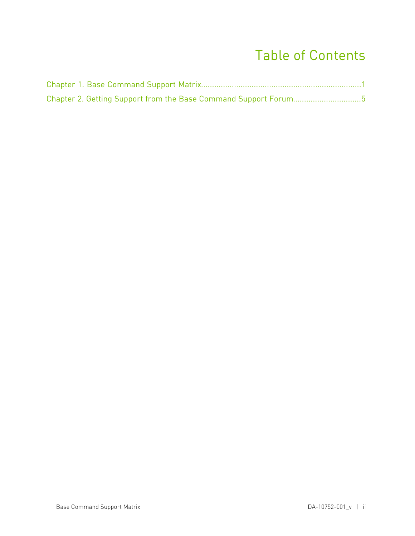#### Table of Contents

| Chapter 2. Getting Support from the Base Command Support Forum5 |  |
|-----------------------------------------------------------------|--|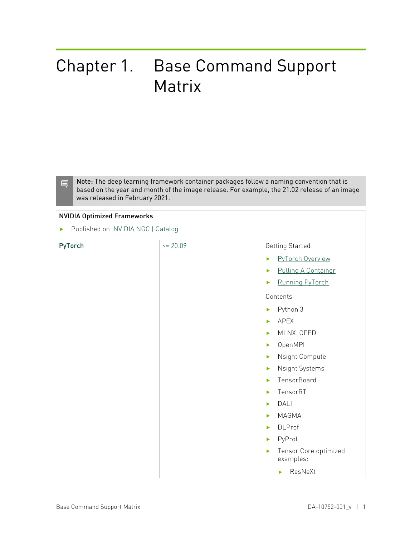### <span id="page-2-0"></span>Chapter 1. Base Command Support Matrix

Note: The deep learning framework container packages follow a naming convention that is based on the year and month of the image release. For example, the 21.02 release of an image was released in February 2021.

#### NVIDIA Optimized Frameworks

**‣** Published on [NVIDIA NGC | Catalog](https://ngc.nvidia.com/catalog)

| PyTorch | $>= 20.09$ | Getting Started                           |
|---------|------------|-------------------------------------------|
|         |            | PyTorch Overview<br>$\blacktriangleright$ |
|         |            | <b>Pulling A Container</b><br>▶           |
|         |            | Running PyTorch<br>ь                      |
|         |            | Contents                                  |
|         |            | Python 3<br>$\blacktriangleright$         |
|         |            | APEX<br>$\blacktriangleright$             |
|         |            | MLNX_OFED<br>▶                            |
|         |            | OpenMPI<br>ь                              |
|         |            | Nsight Compute<br>$\blacktriangleright$   |
|         |            | Nsight Systems<br>$\blacktriangleright$   |
|         |            | TensorBoard<br>ь                          |
|         |            | TensorRT<br>$\blacktriangleright$         |
|         |            | DALI<br>ь                                 |
|         |            | MAGMA<br>ь                                |
|         |            | <b>DLProf</b><br>$\blacktriangleright$    |
|         |            | PyProf<br>ь                               |
|         |            | Tensor Core optimized<br>ь<br>examples:   |
|         |            | ResNeXt<br>ь                              |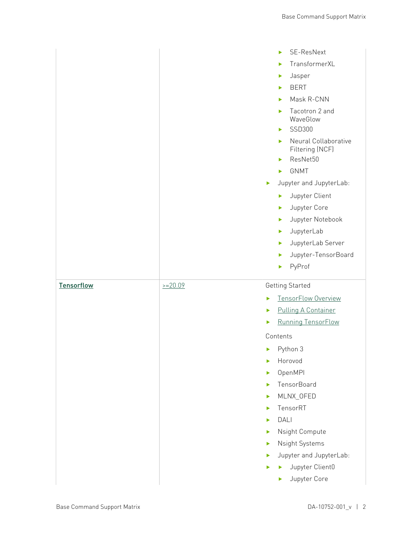|                   |           | SE-ResNext<br>ь<br>TransformerXL<br>ь<br>Jasper<br>▶<br><b>BERT</b><br>ь<br>Mask R-CNN<br>ь<br>Tacotron 2 and<br>ь<br>WaveGlow<br>SSD300<br>ь<br>Neural Collaborative<br>ь<br>Filtering (NCF)<br>ResNet50<br>ь<br><b>GNMT</b><br>ь<br>Jupyter and JupyterLab:<br>▶<br>Jupyter Client<br>ь<br>Jupyter Core<br>▶<br>Jupyter Notebook<br>×<br>JupyterLab<br>Þ.<br>JupyterLab Server<br>▶<br>Jupyter-TensorBoard<br>▶<br>PyProf<br>▶ |
|-------------------|-----------|----------------------------------------------------------------------------------------------------------------------------------------------------------------------------------------------------------------------------------------------------------------------------------------------------------------------------------------------------------------------------------------------------------------------------------|
| <b>Tensorflow</b> | $>=20.09$ | <b>Getting Started</b><br>TensorFlow Overview<br>▶<br><b>Pulling A Container</b><br>▶<br>Running TensorFlow<br>▶<br>Contents<br>Python 3<br>▶<br>Horovod<br>ь<br>OpenMPI<br>K<br>TensorBoard<br>ь<br>MLNX_OFED<br>Þ<br>TensorRT<br>×<br>DALI<br>ь<br>Nsight Compute<br>ь<br>Nsight Systems<br>K<br>Jupyter and JupyterLab:<br>$\blacktriangleright$<br>Jupyter Client0<br>ь<br>Jupyter Core<br>ь                                 |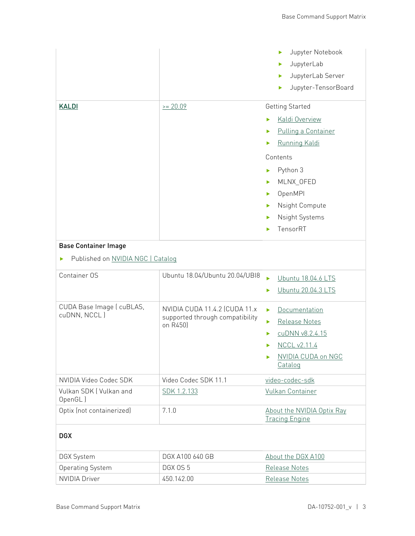|                                           |                                                                              | Jupyter Notebook<br>ь<br>JupyterLab<br>▶<br>JupyterLab Server<br>▶<br>Jupyter-TensorBoard<br>ь                                                                                                                                |  |  |
|-------------------------------------------|------------------------------------------------------------------------------|-------------------------------------------------------------------------------------------------------------------------------------------------------------------------------------------------------------------------------|--|--|
|                                           |                                                                              |                                                                                                                                                                                                                               |  |  |
| <b>KALDI</b>                              | $= 20.09$                                                                    | <b>Getting Started</b><br>Kaldi Overview<br>ь<br>Pulling a Container<br>▶<br>Running Kaldi<br>▶<br>Contents<br>Python 3<br>ь<br>MLNX_OFED<br>ь<br>OpenMPI<br>ь<br>Nsight Compute<br>ь<br>Nsight Systems<br>▶<br>TensorRT<br>ь |  |  |
| <b>Base Container Image</b>               |                                                                              |                                                                                                                                                                                                                               |  |  |
| Published on NVIDIA NGC   Catalog         |                                                                              |                                                                                                                                                                                                                               |  |  |
| Container OS                              | Ubuntu 18.04/Ubuntu 20.04/UBI8                                               | Ubuntu 18.04.6 LTS<br>ь<br>Ubuntu 20.04.3 LTS<br>ь                                                                                                                                                                            |  |  |
| CUDA Base Image ( cuBLAS,<br>cuDNN, NCCL) | NVIDIA CUDA 11.4.2 (CUDA 11.x<br>supported through compatibility<br>on R450) | <b>Documentation</b><br>ь<br>Release Notes<br>▶<br>cuDNN v8.2.4.15<br>▶<br>NCCL v2.11.4<br>▶<br>NVIDIA CUDA on NGC<br>▶<br>Catalog                                                                                            |  |  |
| NVIDIA Video Codec SDK                    | Video Codec SDK 11.1                                                         | video-codec-sdk                                                                                                                                                                                                               |  |  |
| Vulkan SDK (Vulkan and<br>OpenGL)         | SDK 1.2.133                                                                  | Vulkan Container                                                                                                                                                                                                              |  |  |
| Optix (not containerized)                 | 7.1.0                                                                        | About the NVIDIA Optix Ray<br><b>Tracing Engine</b>                                                                                                                                                                           |  |  |
| <b>DGX</b>                                |                                                                              |                                                                                                                                                                                                                               |  |  |
| <b>DGX System</b>                         | DGX A100 640 GB                                                              | About the DGX A100                                                                                                                                                                                                            |  |  |
| <b>Operating System</b>                   | DGX OS 5                                                                     | Release Notes                                                                                                                                                                                                                 |  |  |
| <b>NVIDIA Driver</b>                      | 450.142.00                                                                   | Release Notes                                                                                                                                                                                                                 |  |  |